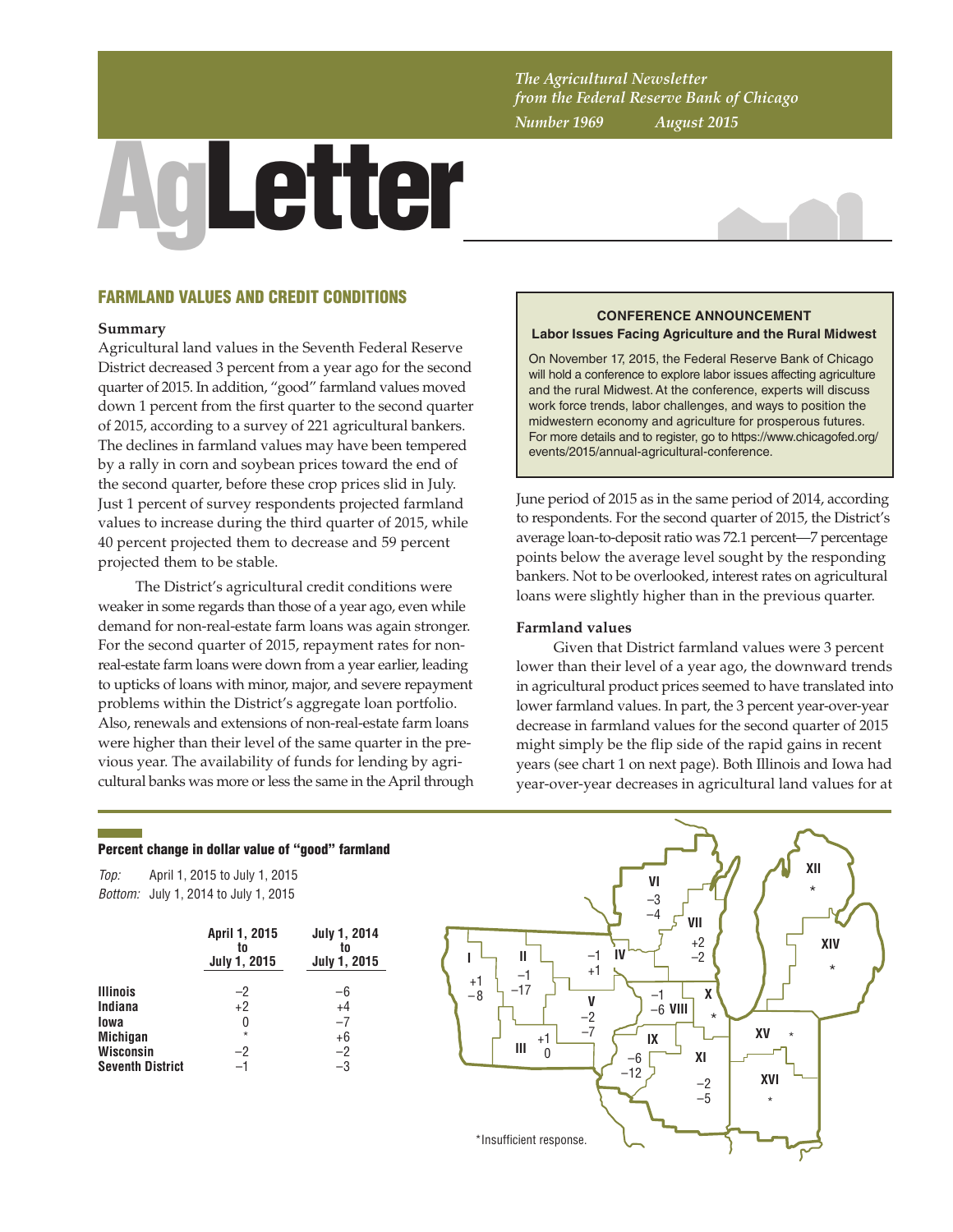*The Agricultural Newsletter from the Federal Reserve Bank of Chicago Number 1969 August 2015*

# AgLetter



## FARMLAND VALUES AND CREDIT CONDITIONS

### **Summary**

Agricultural land values in the Seventh Federal Reserve District decreased 3 percent from a year ago for the second quarter of 2015. In addition, "good" farmland values moved down 1 percent from the first quarter to the second quarter of 2015, according to a survey of 221 agricultural bankers. The declines in farmland values may have been tempered by a rally in corn and soybean prices toward the end of the second quarter, before these crop prices slid in July. Just 1 percent of survey respondents projected farmland values to increase during the third quarter of 2015, while 40 percent projected them to decrease and 59 percent projected them to be stable.

The District's agricultural credit conditions were weaker in some regards than those of a year ago, even while demand for non-real-estate farm loans was again stronger. For the second quarter of 2015, repayment rates for nonreal-estate farm loans were down from a year earlier, leading to upticks of loans with minor, major, and severe repayment problems within the District's aggregate loan portfolio. Also, renewals and extensions of non-real-estate farm loans were higher than their level of the same quarter in the previous year. The availability of funds for lending by agricultural banks was more or less the same in the April through

### **CONFERENCE ANNOUNCEMENT Labor Issues Facing Agriculture and the Rural Midwest**

On November 17, 2015, the Federal Reserve Bank of Chicago will hold a conference to explore labor issues affecting agriculture and the rural Midwest. At the conference, experts will discuss work force trends, labor challenges, and ways to position the midwestern economy and agriculture for prosperous futures. For more details and to register, go to https://www.chicagofed.org/ events/2015/annual-agricultural-conference.

June period of 2015 as in the same period of 2014, according to respondents. For the second quarter of 2015, the District's average loan-to-deposit ratio was 72.1 percent—7 percentage points below the average level sought by the responding bankers. Not to be overlooked, interest rates on agricultural loans were slightly higher than in the previous quarter.

### **Farmland values**

Given that District farmland values were 3 percent lower than their level of a year ago, the downward trends in agricultural product prices seemed to have translated into lower farmland values. In part, the 3 percent year-over-year decrease in farmland values for the second quarter of 2015 might simply be the flip side of the rapid gains in recent years (see chart 1 on next page). Both Illinois and Iowa had year-over-year decreases in agricultural land values for at

### Percent change in dollar value of "good" farmland

*Top: Bottom:* July 1, 2014 to July 1, 2015 April 1, 2015 to July 1, 2015

|                         | April 1, 2015<br>to<br><b>July 1, 2015</b> | July 1, 2014<br>to<br><b>July 1, 2015</b> |
|-------------------------|--------------------------------------------|-------------------------------------------|
| <b>Illinois</b>         | $-2$                                       | -6                                        |
| Indiana                 | $+2$                                       | $+4$                                      |
| lowa                    | 0                                          | $-7$                                      |
| <b>Michigan</b>         | $\star$                                    | $+6$                                      |
| <b>Wisconsin</b>        | -2                                         | $-2$                                      |
| <b>Seventh District</b> | -1                                         | -3                                        |

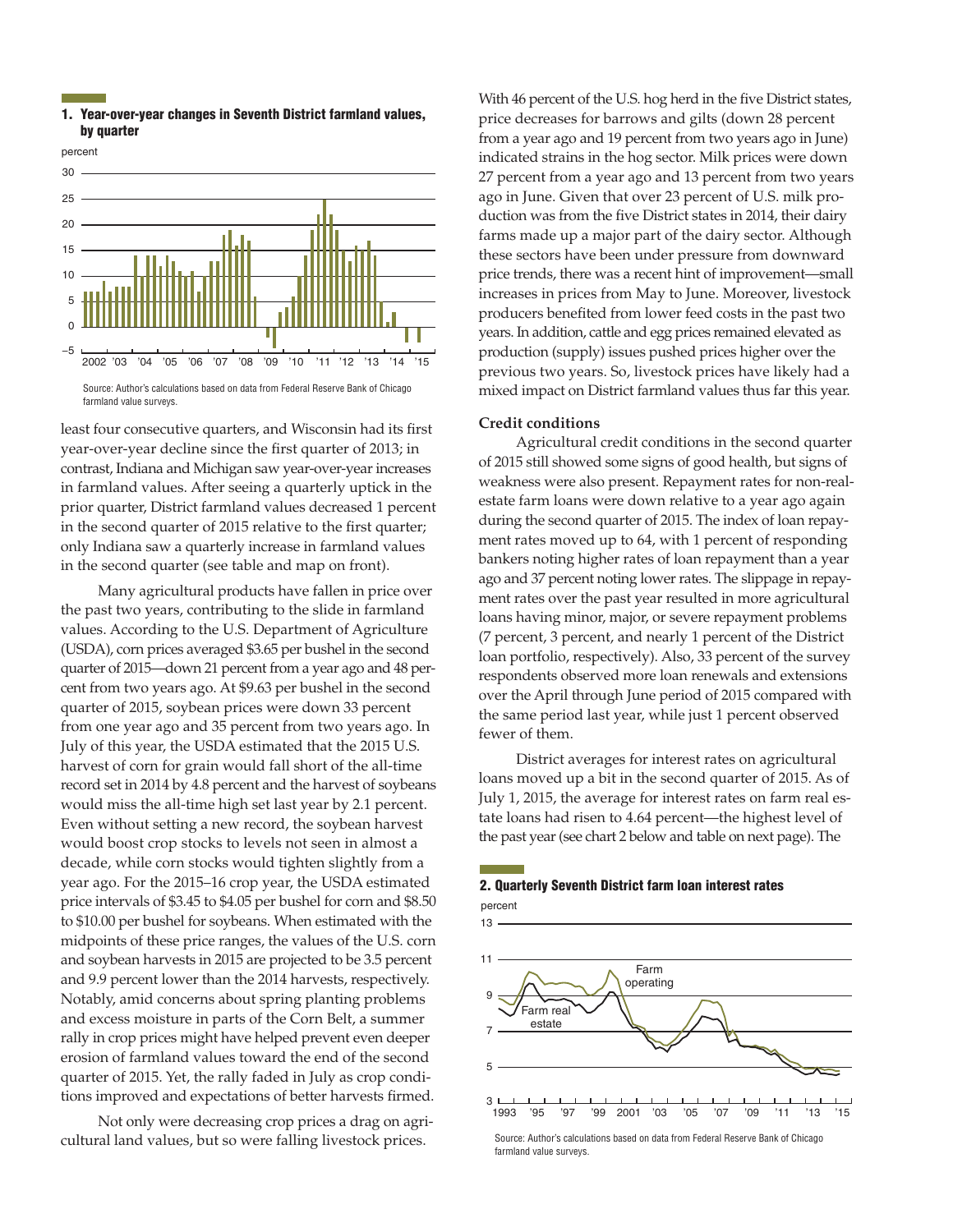





least four consecutive quarters, and Wisconsin had its first year-over-year decline since the first quarter of 2013; in contrast, Indiana and Michigan saw year-over-year increases in farmland values. After seeing a quarterly uptick in the prior quarter, District farmland values decreased 1 percent in the second quarter of 2015 relative to the first quarter; only Indiana saw a quarterly increase in farmland values in the second quarter (see table and map on front).

Many agricultural products have fallen in price over the past two years, contributing to the slide in farmland values. According to the U.S. Department of Agriculture (USDA), corn prices averaged \$3.65 per bushel in the second quarter of 2015—down 21 percent from a year ago and 48 percent from two years ago. At \$9.63 per bushel in the second quarter of 2015, soybean prices were down 33 percent from one year ago and 35 percent from two years ago. In July of this year, the USDA estimated that the 2015 U.S. harvest of corn for grain would fall short of the all-time record set in 2014 by 4.8 percent and the harvest of soybeans would miss the all-time high set last year by 2.1 percent. Even without setting a new record, the soybean harvest would boost crop stocks to levels not seen in almost a decade, while corn stocks would tighten slightly from a year ago. For the 2015–16 crop year, the USDA estimated price intervals of \$3.45 to \$4.05 per bushel for corn and \$8.50 to \$10.00 per bushel for soybeans. When estimated with the midpoints of these price ranges, the values of the U.S. corn and soybean harvests in 2015 are projected to be 3.5 percent and 9.9 percent lower than the 2014 harvests, respectively. Notably, amid concerns about spring planting problems and excess moisture in parts of the Corn Belt, a summer rally in crop prices might have helped prevent even deeper erosion of farmland values toward the end of the second quarter of 2015. Yet, the rally faded in July as crop conditions improved and expectations of better harvests firmed.

Not only were decreasing crop prices a drag on agricultural land values, but so were falling livestock prices.

With 46 percent of the U.S. hog herd in the five District states, price decreases for barrows and gilts (down 28 percent from a year ago and 19 percent from two years ago in June) indicated strains in the hog sector. Milk prices were down 27 percent from a year ago and 13 percent from two years ago in June. Given that over 23 percent of U.S. milk production was from the five District states in 2014, their dairy farms made up a major part of the dairy sector. Although these sectors have been under pressure from downward price trends, there was a recent hint of improvement—small increases in prices from May to June. Moreover, livestock producers benefited from lower feed costs in the past two years. In addition, cattle and egg prices remained elevated as production (supply) issues pushed prices higher over the previous two years. So, livestock prices have likely had a mixed impact on District farmland values thus far this year.

### **Credit conditions**

Agricultural credit conditions in the second quarter of 2015 still showed some signs of good health, but signs of weakness were also present. Repayment rates for non-realestate farm loans were down relative to a year ago again during the second quarter of 2015. The index of loan repayment rates moved up to 64, with 1 percent of responding bankers noting higher rates of loan repayment than a year ago and 37 percent noting lower rates. The slippage in repayment rates over the past year resulted in more agricultural loans having minor, major, or severe repayment problems (7 percent, 3 percent, and nearly 1 percent of the District loan portfolio, respectively). Also, 33 percent of the survey respondents observed more loan renewals and extensions over the April through June period of 2015 compared with the same period last year, while just 1 percent observed fewer of them.

District averages for interest rates on agricultural loans moved up a bit in the second quarter of 2015. As of July 1, 2015, the average for interest rates on farm real estate loans had risen to 4.64 percent—the highest level of the past year (see chart 2 below and table on next page). The

# 2. Quarterly Seventh District farm loan interest rates



Source: Author's calculations based on data from Federal Reserve Bank of Chicago farmland value surveys.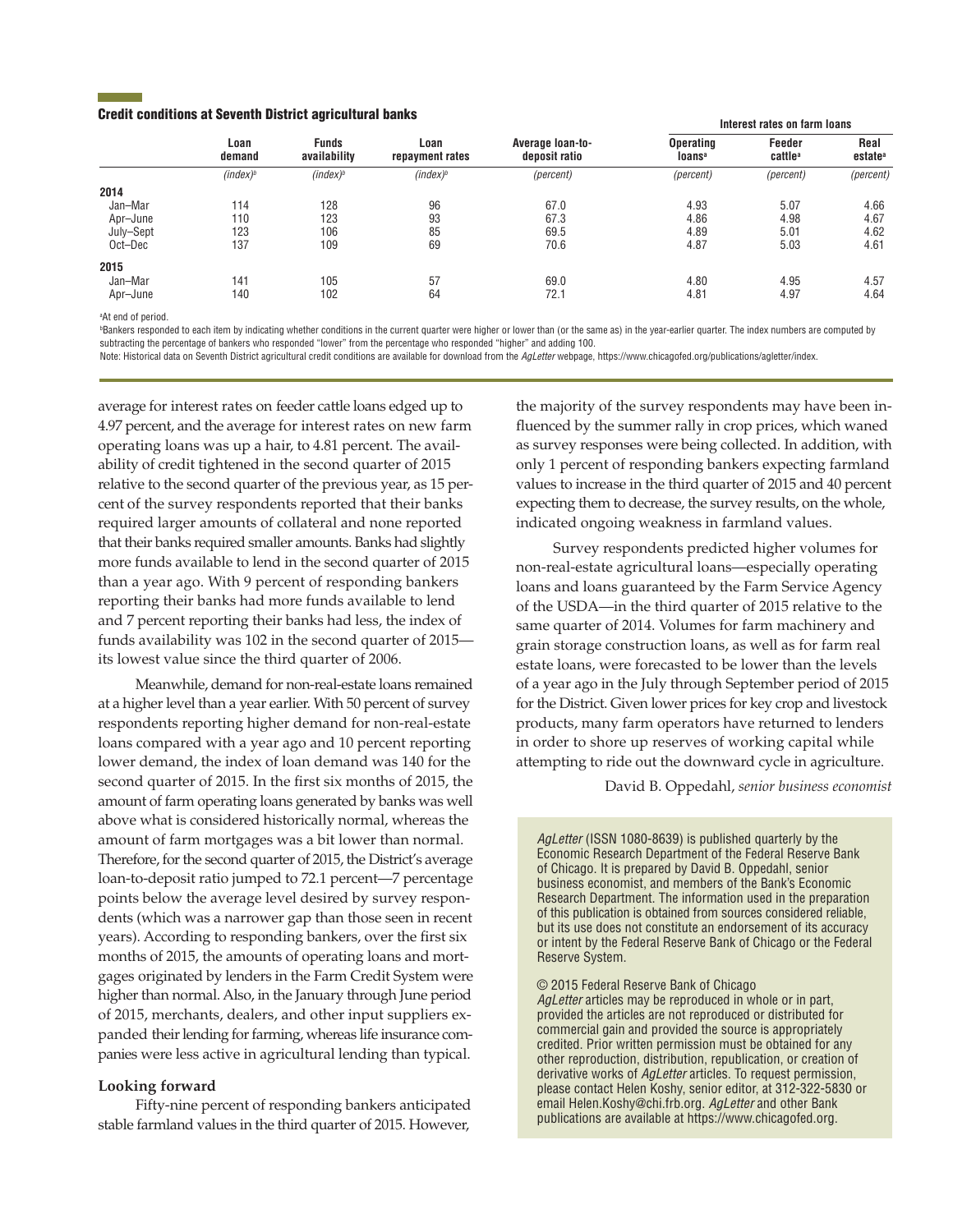### Credit conditions at Seventh District agricultural banks

|           |                      |                              | Loan<br>repayment rates | Average loan-to-<br>deposit ratio | Interest rates on farm loans           |                               |                             |
|-----------|----------------------|------------------------------|-------------------------|-----------------------------------|----------------------------------------|-------------------------------|-----------------------------|
|           | Loan<br>demand       | <b>Funds</b><br>availability |                         |                                   | <b>Operating</b><br>loans <sup>a</sup> | Feeder<br>cattle <sup>a</sup> | Real<br>estate <sup>a</sup> |
|           | (index) <sup>b</sup> | $(index)^b$                  | (index) <sup>b</sup>    | (percent)                         | (percent)                              | (percent)                     | (percent)                   |
| 2014      |                      |                              |                         |                                   |                                        |                               |                             |
| Jan-Mar   | 114                  | 128                          | 96                      | 67.0                              | 4.93                                   | 5.07                          | 4.66                        |
| Apr–June  | 110                  | 123                          | 93                      | 67.3                              | 4.86                                   | 4.98                          | 4.67                        |
| July-Sept | 123                  | 106                          | 85                      | 69.5                              | 4.89                                   | 5.01                          | 4.62                        |
| Oct-Dec   | 137                  | 109                          | 69                      | 70.6                              | 4.87                                   | 5.03                          | 4.61                        |
| 2015      |                      |                              |                         |                                   |                                        |                               |                             |
| Jan-Mar   | 141                  | 105                          | 57                      | 69.0                              | 4.80                                   | 4.95                          | 4.57                        |
| Apr–June  | 140                  | 102                          | 64                      | 72.1                              | 4.81                                   | 4.97                          | 4.64                        |
|           |                      |                              |                         |                                   |                                        |                               |                             |

a At end of period.

**Bankers responded to each item by indicating whether conditions in the current quarter were higher or lower than (or the same as) in the year-earlier quarter. The index numbers are computed by** subtracting the percentage of bankers who responded "lower" from the percentage who responded "higher" and adding 100.

Note: Historical data on Seventh District agricultural credit conditions are available for download from the *AgLetter* webpage, https://www.chicagofed.org/publications/agletter/index.

average for interest rates on feeder cattle loans edged up to 4.97 percent, and the average for interest rates on new farm operating loans was up a hair, to 4.81 percent. The availability of credit tightened in the second quarter of 2015 relative to the second quarter of the previous year, as 15 percent of the survey respondents reported that their banks required larger amounts of collateral and none reported that their banks required smaller amounts. Banks had slightly more funds available to lend in the second quarter of 2015 than a year ago. With 9 percent of responding bankers reporting their banks had more funds available to lend and 7 percent reporting their banks had less, the index of funds availability was 102 in the second quarter of 2015 its lowest value since the third quarter of 2006.

Meanwhile, demand for non-real-estate loans remained at a higher level than a year earlier. With 50 percent of survey respondents reporting higher demand for non-real-estate loans compared with a year ago and 10 percent reporting lower demand, the index of loan demand was 140 for the second quarter of 2015. In the first six months of 2015, the amount of farm operating loans generated by banks was well above what is considered historically normal, whereas the amount of farm mortgages was a bit lower than normal. Therefore, for the second quarter of 2015, the District's average loan-to-deposit ratio jumped to 72.1 percent—7 percentage points below the average level desired by survey respondents (which was a narrower gap than those seen in recent years). According to responding bankers, over the first six months of 2015, the amounts of operating loans and mortgages originated by lenders in the Farm Credit System were higher than normal. Also, in the January through June period of 2015, merchants, dealers, and other input suppliers expanded their lending for farming, whereas life insurance companies were less active in agricultural lending than typical.

### **Looking forward**

Fifty-nine percent of responding bankers anticipated stable farmland values in the third quarter of 2015. However,

the majority of the survey respondents may have been influenced by the summer rally in crop prices, which waned as survey responses were being collected. In addition, with only 1 percent of responding bankers expecting farmland values to increase in the third quarter of 2015 and 40 percent expecting them to decrease, the survey results, on the whole, indicated ongoing weakness in farmland values.

Survey respondents predicted higher volumes for non-real-estate agricultural loans—especially operating loans and loans guaranteed by the Farm Service Agency of the USDA—in the third quarter of 2015 relative to the same quarter of 2014. Volumes for farm machinery and grain storage construction loans, as well as for farm real estate loans, were forecasted to be lower than the levels of a year ago in the July through September period of 2015 for the District. Given lower prices for key crop and livestock products, many farm operators have returned to lenders in order to shore up reserves of working capital while attempting to ride out the downward cycle in agriculture.

David B. Oppedahl, *senior business economist*

*AgLetter* (ISSN 1080-8639) is published quarterly by the Economic Research Department of the Federal Reserve Bank of Chicago. It is prepared by David B. Oppedahl, senior business economist, and members of the Bank's Economic Research Department. The information used in the preparation of this publication is obtained from sources considered reliable, but its use does not constitute an endorsement of its accuracy or intent by the Federal Reserve Bank of Chicago or the Federal Reserve System.

© 2015 Federal Reserve Bank of Chicago *AgLetter* articles may be reproduced in whole or in part, provided the articles are not reproduced or distributed for commercial gain and provided the source is appropriately credited. Prior written permission must be obtained for any other reproduction, distribution, republication, or creation of derivative works of *AgLetter* articles. To request permission, please contact Helen Koshy, senior editor, at 312-322-5830 or email Helen.Koshy@chi.frb.org. *AgLetter* and other Bank publications are available at https://www.chicagofed.org.